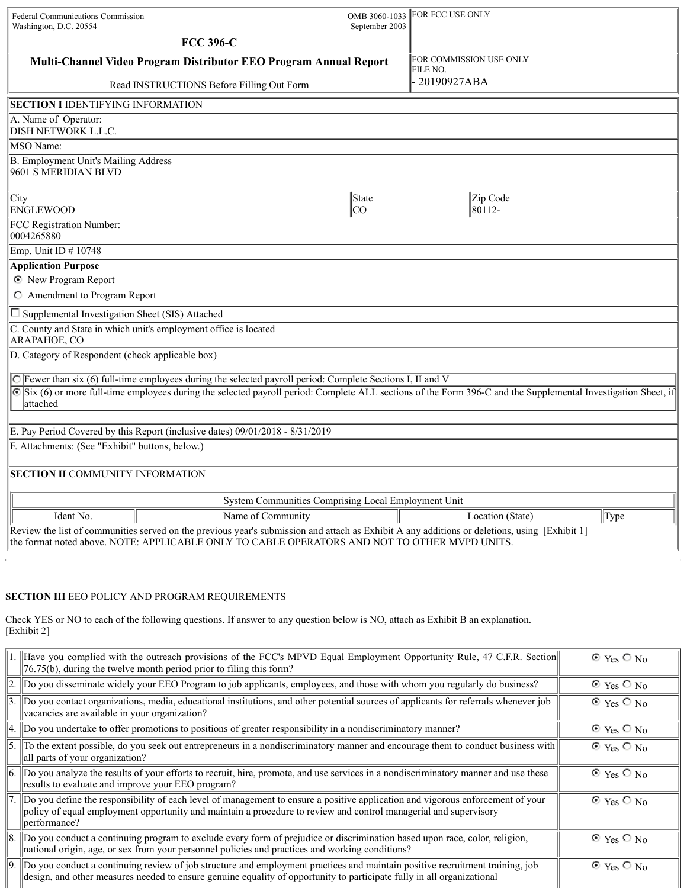| Federal Communications Commission<br>Washington, D.C. 20554                                                                                                                                                                                    | OMB 3060-1033<br>September 2003 | FOR FCC USE ONLY                    |  |  |
|------------------------------------------------------------------------------------------------------------------------------------------------------------------------------------------------------------------------------------------------|---------------------------------|-------------------------------------|--|--|
| <b>FCC 396-C</b>                                                                                                                                                                                                                               |                                 |                                     |  |  |
| Multi-Channel Video Program Distributor EEO Program Annual Report                                                                                                                                                                              |                                 | FOR COMMISSION USE ONLY<br>FILE NO. |  |  |
| Read INSTRUCTIONS Before Filling Out Form                                                                                                                                                                                                      |                                 | 20190927ABA                         |  |  |
| <b>SECTION I IDENTIFYING INFORMATION</b>                                                                                                                                                                                                       |                                 |                                     |  |  |
| A. Name of Operator:<br><b>DISH NETWORK L.L.C.</b>                                                                                                                                                                                             |                                 |                                     |  |  |
| MSO Name:                                                                                                                                                                                                                                      |                                 |                                     |  |  |
| B. Employment Unit's Mailing Address<br>9601 S MERIDIAN BLVD                                                                                                                                                                                   |                                 |                                     |  |  |
| City<br><b>ENGLEWOOD</b>                                                                                                                                                                                                                       | <b>State</b><br><b>CO</b>       | Zip Code<br>80112-                  |  |  |
| FCC Registration Number:<br>0004265880                                                                                                                                                                                                         |                                 |                                     |  |  |
| Emp. Unit ID # 10748                                                                                                                                                                                                                           |                                 |                                     |  |  |
| <b>Application Purpose</b>                                                                                                                                                                                                                     |                                 |                                     |  |  |
| <b>C</b> New Program Report                                                                                                                                                                                                                    |                                 |                                     |  |  |
| C Amendment to Program Report                                                                                                                                                                                                                  |                                 |                                     |  |  |
| Supplemental Investigation Sheet (SIS) Attached                                                                                                                                                                                                |                                 |                                     |  |  |
| C. County and State in which unit's employment office is located<br><b>ARAPAHOE, CO</b>                                                                                                                                                        |                                 |                                     |  |  |
| D. Category of Respondent (check applicable box)                                                                                                                                                                                               |                                 |                                     |  |  |
| C Fewer than six (6) full-time employees during the selected payroll period: Complete Sections I, II and V                                                                                                                                     |                                 |                                     |  |  |
| Six (6) or more full-time employees during the selected payroll period: Complete ALL sections of the Form 396-C and the Supplemental Investigation Sheet, if<br>⊙<br>lattached                                                                 |                                 |                                     |  |  |
|                                                                                                                                                                                                                                                |                                 |                                     |  |  |
| E. Pay Period Covered by this Report (inclusive dates) 09/01/2018 - 8/31/2019<br>F. Attachments: (See "Exhibit" buttons, below.)                                                                                                               |                                 |                                     |  |  |
|                                                                                                                                                                                                                                                |                                 |                                     |  |  |
| <b>SECTION II COMMUNITY INFORMATION</b>                                                                                                                                                                                                        |                                 |                                     |  |  |
| System Communities Comprising Local Employment Unit                                                                                                                                                                                            |                                 |                                     |  |  |
| Ident No.<br>Name of Community                                                                                                                                                                                                                 |                                 | Location (State)<br>Type            |  |  |
| Review the list of communities served on the previous year's submission and attach as Exhibit A any additions or deletions, using [Exhibit 1]<br>the format noted above. NOTE: APPLICABLE ONLY TO CABLE OPERATORS AND NOT TO OTHER MVPD UNITS. |                                 |                                     |  |  |

## **SECTION III** EEO POLICY AND PROGRAM REQUIREMENTS

Check YES or NO to each of the following questions. If answer to any question below is NO, attach as Exhibit B an explanation. [Exhibit 2]

| 1. Have you complied with the outreach provisions of the FCC's MPVD Equal Employment Opportunity Rule, 47 C.F.R. Section<br>$\left\  76.75(b) \right\ $ , during the twelve month period prior to filing this form?                                                       | $\odot$ Yes $\odot$ No |
|---------------------------------------------------------------------------------------------------------------------------------------------------------------------------------------------------------------------------------------------------------------------------|------------------------|
| 2. Do you disseminate widely your EEO Program to job applicants, employees, and those with whom you regularly do business?                                                                                                                                                | $\odot$ Yes $\odot$ No |
| $\left 3. \right $ Do you contact organizations, media, educational institutions, and other potential sources of applicants for referrals whenever job<br>vacancies are available in your organization?                                                                   | $\odot$ Yes $\odot$ No |
| $\ 4.$ Do you undertake to offer promotions to positions of greater responsibility in a nondiscriminatory manner?                                                                                                                                                         | $\odot$ Yes $\odot$ No |
| 5. To the extent possible, do you seek out entrepreneurs in a nondiscriminatory manner and encourage them to conduct business with<br>all parts of your organization?                                                                                                     | $\odot$ Yes $\odot$ No |
| 6. Do you analyze the results of your efforts to recruit, hire, promote, and use services in a nondiscriminatory manner and use these<br>results to evaluate and improve your EEO program?                                                                                | $\odot$ Yes $\odot$ No |
| $\ 7.$ Do you define the responsibility of each level of management to ensure a positive application and vigorous enforcement of your<br>policy of equal employment opportunity and maintain a procedure to review and control managerial and supervisory<br>performance? | $\odot$ Yes $\odot$ No |
| 8. Do you conduct a continuing program to exclude every form of prejudice or discrimination based upon race, color, religion,<br>national origin, age, or sex from your personnel policies and practices and working conditions?                                          | $\odot$ Yes $\odot$ No |
| Do you conduct a continuing review of job structure and employment practices and maintain positive recruitment training, job<br>design, and other measures needed to ensure genuine equality of opportunity to participate fully in all organizational                    | $\odot$ Yes $\odot$ No |